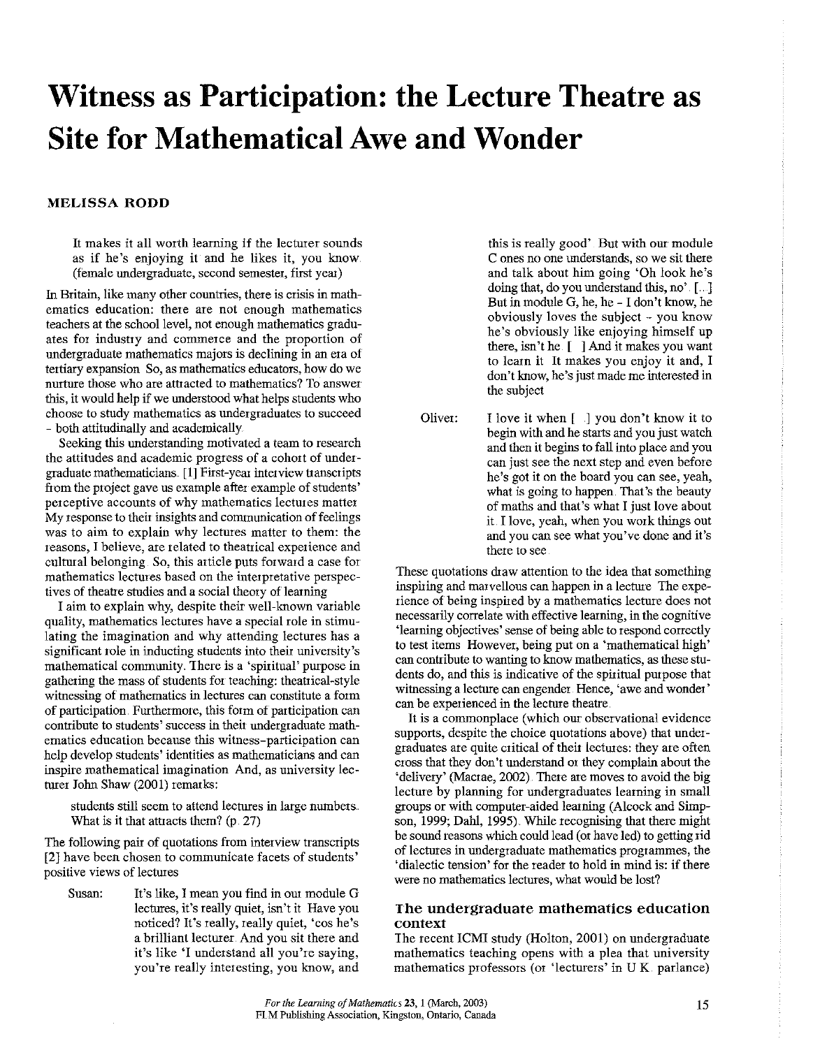# **Witness as Participation: the Lecture Theatre as Site for Mathematical Awe and Wonder**

# **MELISSA RODD**

It makes it all worth learning if the lecturer sounds as if he's enjoying it and he likes it, you know (female undergraduate, second semester, first year)

**In Britain, like many other countries, there is crisis in mathematics education: there are not enough mathematics**  teachers at the school level, not enough mathematics graduates for industry and commerce and the proportion of undergraduate mathematics majors is declining in an era of **tertiary expansion So, as mathematics educators, how do we nmture those who are attracted to mathematics? To answer**  this, it would help if we understood what helps students who **choose to study mathematics as undergraduates to succeed**  - both attitudinally and academically.

Seeking this understanding motivated a team to research the attitudes and academic progress of a cohort of undergraduate mathematicians .. **[1]** First-year interview transcripts from the project gave us example after example of students' **perceptive accounts of why mathematics lectures matter**  My response to their insights and communication of feelings **was to aim to explain why lectures matter to them: the reasons, I believe, are related to theatrical expetience and**  cultmal belonging. So, this article puts forward a case for **mathematics lectures based on the interpretative perspec**tives of theatre studies and a social theory of learning

I aim to explain why, despite their well-known variable **quality, mathematics lectures have a special role in stimu**lating the imagination and why attending lectures has a significant role in inducting students into their university's mathematical community. There is a 'spiritual' purpose in gathering the mass of students for teaching: theatrical-style witnessing of mathematics in lectures can constitute a form of participation. Furthermore, this form of participation can contribute to students' success in their undergraduate math**ematics education because this witness-participation can**  help develop students' identities as mathematicians and can **inspire mathematical imagination And, as university lec**turer John Shaw (2001) remarks:

students still seem to attend lectures in large numbers. What is it that attracts them? (p. 27)

The following pair of quotations from interview transcripts [2] have been chosen to communicate facets of students' **positive views of lectures** 

Susan: It's like, I mean you find in our module G **lectures, it's really quiet, isn't it Have you**  noticed? It's really, really quiet, 'cos he's a brilliant lecturer. And you sit there and it's like 'I understand all you're saying, you're really interesting, you know, and

this is really good' But with our module **C ones no one understands, so we sit there**  and talk about him going 'Oh look he's doing that, do you understand this, no' [...] But in module G, he, he - I don't know, he obviously loves the subject - you know he's obviously like enjoying himself up there, isn't he [ ] And it makes you want to learn it It makes you enjoy it and, I don't know, he's just made me interested in the subject

Oliver: I love it when [ ] you don't know it to begin with and he starts and you just watch and then it begins to fall into place and you can just see the next step and even before he's got it on the board you can see, yeah, what is going to happen. That's the beauty of maths and that's what I just love about it. I love, yeah, when you work things out **and you can see what you've done and it's there to see** 

These quotations draw attention to the idea that something inspiring and marvellous can happen in a lecture The experience of being inspired by a mathematics lecture does not necessarily correlate with effective learning, in the cognitive 'learning objectives' sense of being able to respond correctly **to test items However, being put on a 'mathematical high' can contiibute to wanting to know mathematics, as these stu**dents do, and this is indicative of the spiritual purpose that **witnessing a lecture can engender Hence, 'awe and wonder'**  can be experienced in the lecture theatre.

It is a commonplace (which our observational evidence supports, despite the choice quotations above) that undergraduates are quite critical of their lectures: they are often cross that they don't understand or they complain about the 'delivery' (Macrae, 2002) There are moves to avoid the big lecture by planning for undergraduates learning in small groups or with computer-aided learning (Alcock and Simpson, 1999; Dahl, 1995) While recognising that there might be sound reasons which could lead (or have led) to getting rid of lectures in undergraduate mathematics prograrmnes, the 'dialectic tension' for the reader to hold in mind is: if there **were no mathematics lectures, what would be lost?** 

# **The undergraduate mathematics education context**

The recent ICMI study (Holton, 2001) on undergraduate mathematics teaching opens with a plea that university mathematics professors (or 'lecturers' in UK parlance)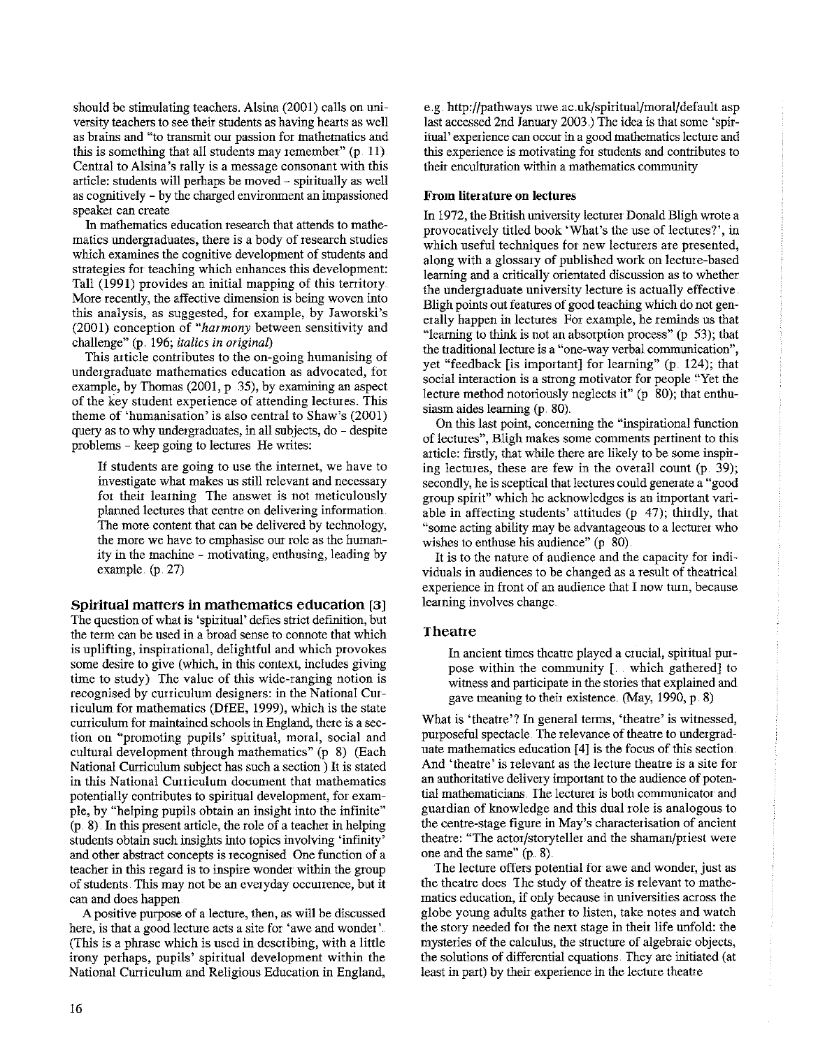should be stimulating teachers. Alsina (2001) calls on university teachers to see their students as having hearts as well **as brains and "to transmit om passion for mathematics and**  this is something that all students may remember" (p. 11) Central to Alsina 's rally is a message consonant with this article: students will perhaps be moved - spiritually as well as cognitively -by the charged environment an impassioned **speaker can create** 

In mathematics education research that attends to mathematics undergraduates, there is a body of research studies which examines the cognitive development of students and strategies for teaching which enhances this development: Tall (1991) provides an initial mapping of this territory **More recently, the affective dimension is being woven into**  this analysis, as suggested, for example, by Jaworski's (2001) conception of *"harmony* between sensitivity and challenge" (p. 196; *italics in original)* 

This article contributes to the on-going humanising of **undergraduate mathematics education as advocated, for**  example, by Thomas (2001,  $p \overline{35}$ ), by examining an aspect of the key student experience of attending lectures. This theme of 'humanisation' is also central to Shaw's (2001) query as to why undergraduates, in all subjects, do - despite problems - keep going to lectures He writes:

**If students are going to use the internet, we have to investigate what makes us still relevant and necessary**  for their learning The answer is not meticulously planned lectures that centre on delivering information. The more content that can be delivered by technology, **the more we have to emphasise our role as the human**ity in the machine - motivating, enthusing, leading by example (p. 27)

**Spiritual matters in mathematics education** [3]

The question of what is 'spiritual' defies strict definition, but the term can be used in a broad sense to connote that which is uplifting, inspirational, delightful and which provokes some desire to give (which, in this context, includes giving time to study) The value of this wide-ranging notion is recognised by curriculum designers: in the National Curriculum for mathematics (DfEE, 1999), which is the state curriculum for maintained schools in England, there is a sec**tion on '"promoting pupils' spititual, moral, social and**  cultural development through mathematics" (p 8) (Each National Cutriculum subject has such a section ) It is stated in this National Curriculum document that mathematics potentially contributes to spiritual development, for example, by "helping pupils obtain an insight into the infinite" (p. 8). 1n this present article, the role of a teacher in helping students obtain such insights into topics involving 'infinity' and other abstract concepts is recognised One function of a teacher in this regard is to inspire wonder within the group of students This may not be an everyday occutrence, but it can and does happen

A positive purpose of a lecture, then, as will be discussed **here, is that a good lecture acts a site for 'awe and wonder'**  (This is a phrase which is used in describing, with a little irony perhaps, pupils' spiritual development within the National Curriculum and Religious Education in England,

e.g. http://pathways uwe.ac.uk/spiritual/moral/default asp last accessed 2nd January 2003.) The idea is that some 'spir**itual' experience can occur in a good mathematics lecture and this experience is motivating for students and contributes to**  their enculturation within a mathematics community

## **From literature on lectures**

In 1972, the British university lecturer Donald Bligh wrote a provocatively titled book 'What's the use of lectures?', in **which useful techniques for new lecturers are presented,**  along with a glossary of published work on lecture-based **learning and a critically orientated discussion as to whether**  the undergraduate university lecture is actually effective. Bligh points out features of good teaching which do not generally happen in lectures For example, he reminds us that "learning to think is not an absorption process" (p 53); that the traditional lecture is a "one-way verbal communication". yet "feedback [is important] for learning" (p. 124); that **social interaction is a strong motivator for people "Yet the**  lecture method notoriously neglects it"  $(p \ 80)$ ; that enthusiasm aides learning (p. 80)

On this last point, concerning the "inspirational function **of lectures", Bligh makes some comments pertinent to this**  article: firstly, that while there are likely to be some inspiring lectures, these are few in the overall count (p. 39); secondly, he is sceptical that lectures could generate a "good group spirit" which he acknowledges is an important variable in affecting students' attitudes (p 47); thirdly, that **''"some acting ability may be advantageous to a lecturer who**  wishes to enthuse his audience" (p 80).

It is to the nature of audience and the capacity for individuals in audiences to be changed as a result of theatrical **experience in front of an audience that I now tmn, because**  learning involves change.

## **Theatre**

1n ancient times theatre played a crucial, spiritual putpose within the community [ .. which gathered] to witness and participate in the stories that explained and gave meaning to their existence. (May, 1990, p. 8)

**What is 'theatre'? In general terms, 'theatre' is witnessed,**  putposeful spectacle. The relevance of theatre to undergraduate mathematics education [ **4]** is the focus of this section. And 'theatre' is relevant as the lecture theatre is a site for an authoritative delivery important to the audience of potential mathematicians. The lecturer is both communicator and guardian of knowledge and this dual role is analogous to the centre-stage figure in May's characterisation of ancient theatre: "The actor/storyteller and the shaman/priest were one and the same" (p. 8).

The lecture offers potential for awe and wonder, just as the theatre does The study of theatre is relevant to mathe**matics education, if only because in universities across the**  globe young adults gather to listen, take notes and watch the story needed for the next stage in their life unfold: the mysteries of the calculus, the structure of algebraic objects, the solutions of differential equations. They are initiated (at least in part) by their experience in the lecture theatre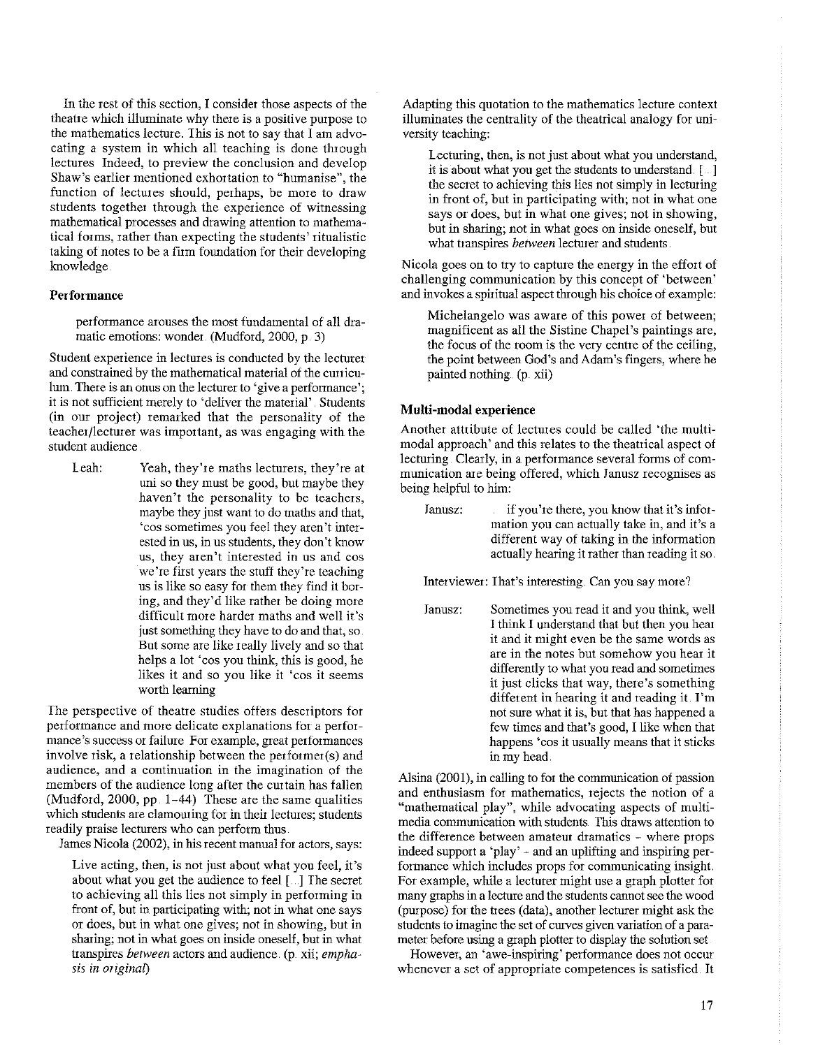In the rest of *this* section, I consider those aspects of the theatre which illuminate why there is a positive purpose to the mathematics lecture. This is not to say that I am advocating a system in which all teaching is done through lectures Indeed, to preview the conclusion and develop Shaw's earlier mentioned exhortation to "humanise", the function of lectures should, perhaps, be more to draw students together through the experience of witnessing mathematical processes and drawing attention to mathematical forms, rather than expecting the students' ritualistic taking of notes to be a firm foundation for their developing knowledge

# Performance

performance arouses the most fundamental of all dramalic emotions: wonder. (Mudford, 2000, p. 3)

Student experience in lectures is conducted by the lecturer and constrained by the mathematical material of the curriculum. There is an onus on the lecturer to 'give a performance'; it is not sufficient merely to 'deliver the material' Students (in our project) remarked that the personality of the teacher/lecturer was important, as was engaging with the student audience

Leah: Yeah, they're maths lecturers, they're at uni so they must be good, but maybe they haven't the personality to be teachers, maybe they just want to do maths and that, 'cos sometimes you feel they aren't interested in us, in us students, they don't know us, they aren't interested in us and cos we're first years the stuff they're teaching us is like so easy for them they find it boring, and they'd like rather be doing more difficult more harder maths and well it's just something they have to do and that, so. But some are like really lively and so that helps a lot 'cos you think, this is good, he likes it and so you like it 'cos it seems worth learning

The perspective of theatre studies offers descriptors for performance and more delicate explanations for a performance's success or failure For example, great performances involve risk, a relationship between the performer(s) and audience, and a continuation in the imagination of the members of the audience long after the curtain has fallen (Mudford, 2000, pp. 1-44) These are the same qualities which students are clamouring for in their lectures; students readily praise lecturers who can perform thus.

James Nicola (2002), in his recent manual for actors, says:

Live acting, then, is not just about what you feel, it's about what you get the audience to feel [...] The secret to achieving all this lies not simply in performing in front of, but in participating with; not in what one says or does, but in what one gives; not in showing, but in sharing; not in what goes on inside oneself, but in what transpires *between* actors and audience (p xii; *emphasis in original)* 

Adapting this quotation to the mathematics lecture context illuminates the centrality of the theatrical analogy for university teaching:

Lecturing, then, is not just about what you understand, it is about what you get the students to understand.  $[$ ....] the secret to achieving this lies not simply in lecturing in front of, but in participating with; not in what one says or does, but in what one gives; not in showing, but in sharing; not in what goes on inside oneself, but what transpires *between* lecturer and students.

Nicola goes on to try to capture the energy in the effort of challenging communication by this concept of 'between' and invokes a spiritual aspect through his choice of example:

Michelangelo was aware of this power of between; magnificent as all the Sistine Chapel's paintings are, the focus of the room is the very centre of the ceiling, the point between God's and Adam's fingers, where he painted nothing. (p xii)

# Multi-modal experience

Another attribute of lectures could be called 'the multimodal approach' and this relates to the theatrical aspect of lecturing Clearly, in a performance several forms of communication me being offered, which Janusz recognises as being helpful to him:

| Janusz: | if you're there, you know that it's infor-     |
|---------|------------------------------------------------|
|         | mation you can actually take in, and it's a    |
|         | different way of taking in the information     |
|         | actually hearing it rather than reading it so. |

Interviewer: That's interesting. Can you say more?

Janusz: Sometimes you read it and you think, well I think I understand that but then you hear it and it might even be the same words as are in the notes but somehow you hear it differently to what you read and sometimes it just clicks that way, there's something different in hearing it and reading it. I'm not sure what it is, but that has happened a few times and that's good, I like when that happens 'cos it usually means that it sticks in my head

Alsina (2001), in calling to for the communication of passion and enthusiasm for mathematics, rejects the notion of a "mathematical play", while advocating aspects of multimedia communication with students. This draws attention to the difference between amateur dramatics - where props indeed support a 'play'- and an uplifting and inspiring performance which includes props for communicating insight. For example, while a lecturer might use a graph plotter for many graphs in a lecture and the students cannot see the wood (purpose) for the trees (data), another lecturer might ask the students to imagine the set of curves given variation of a parameter before using a graph plotter to display the solution set

However, an 'awe-inspiring' performance does not occur whenever a set of appropriate competences is satisfied. It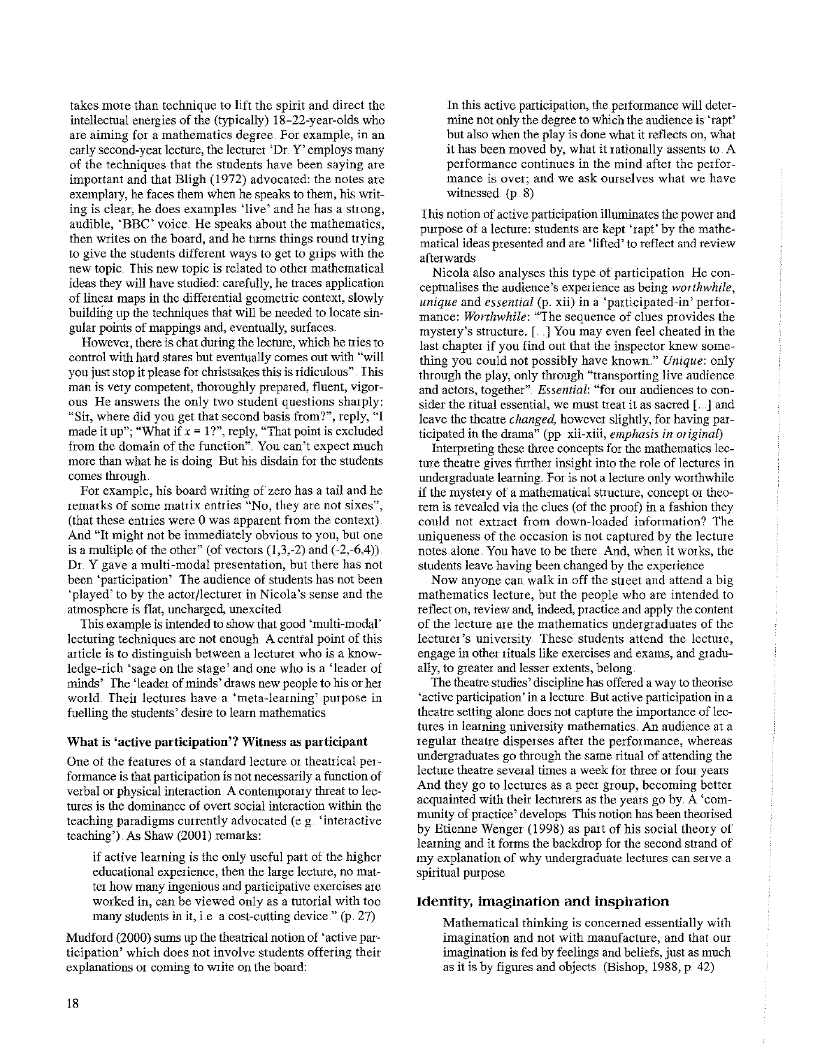takes mote than technique to lift the spirit and direct the intellectual energies of the (typically) 18-22-year-olds who **are aiming for a mathematics degree. For example, in an**  early second-year lecture, the lecturer 'Dr. Y' employs many of the techniques that the students have been saying are important and that Bligh (1972) advocated: the notes are exemplary, he faces them when he speaks to them, his writ**ing is clear, he does examples 'live' and he has a strong,**  audible, 'BBC' voice He speaks about the mathematics, then writes on the board, and he turns things round trying to give the students different ways to get to grips with the new topic This new topic is related to other mathematical ideas they will have studied: carefully, he traces application of linear maps in the differential geometric context, slowly building up the techniques that will be needed to locate singular points of mappings and, eventually, surfaces.

**However, there is chat during the lecture, which he tiies to**  control with hard stares but eventually comes out with "will you just stop it please for christsakes this is ridiculous". This man is very competent, thoroughly prepared, fluent, vigor**ous He answers the only two student questions sharply:**  "Sit, where did you get that second basis from?", reply, "I made it up"; "What if  $x = 1$ ?", reply, "That point is excluded **from the domain of the function" You can't expect much**  more than what he is doing But his disdain for the students comes through

For example, his board writing of zero has a tail and he **remarks of some matrix entries "No, they are not sixes",**  (that these entries were 0 was apparent from the context) And "It might not be immediately obvious to you, but one is a multiple of the other" (of vectors  $(1,3,-2)$  and  $(-2,-6,4)$ ). **Dr Y gave a multi-modal presentation, but there has not been 'participation' The audience of students has not been**  'played' to by the actor/lecturer in Nicola's sense and the atmosphere is flat, uncharged, unexcited

This example is intended to show that good 'multi-modal' lecturing techniques are not enough A central point of this article is to distinguish between a lecturer who is a knowledge-rich 'sage on the stage' and one who is a 'leader of minds' The 'leader of minds' draws new people to his or her **wotld. Their lectures have a 'meta-learning' purpose in fuelling the students' desire to learn mathematics** 

# **What is 'active participation'? Witness as participant**

One of the features of a standard lecture or theatrical per**formance is that participation is not necessarily a function of**  verbal or physical interaction A contemporary threat to lec**tures is the dominance of overt social interaction within the teaching paradigms currently advocated (e.g 'interactive**  teaching'). As Shaw (2001) remarks:

if active learning is the only useful part of the higher **educational experience, then the large lecture, no matter how many ingenious and participative exercises are worked in, can be viewed only as a tutorial with too**  many students in it, i.e. a cost-cutting device." (p. 27)

Mudford (2000) sums up the theatrical notion of 'active par**ticipation' which does not involve students offering their**  explanations or coming to write on the board:

In this active participation, the performance will determine not only the degree to which the audience is 'rapt' but also when the play is done what it reflects on, what it has been moved by, what it rationally assents to A **performance continues in the mind after the performance is over; and we ask ourselves what we have**  witnessed. (p. 8)

**This notion of active participation illuminates the power and**  purpose of a lecture: students are kept 'rapt' by the mathematical ideas presented and are 'lifted' to reflect and review afterwards

Nicola also analyses this type of participation He con**ceptualises the audience's experience as being** *worthwhile, unique* and *essential* (p. xii) in a 'participated-in' performance: *Worthwhile:* "The sequence of clues provides the mystery's structure. [. ] You may even feel cheated in the last chapter if you find out that the inspector knew something you could not possibly have known" *Unique:* only through the play, only through "transporting live audience **and actors, together"** *Essential:* **"for om audiences to consider the ritual essential, we must treat it as sacred** [ .. ] **and**  leave the theatre *changed,* however slightly, for having participated in the drama" (pp xii-xiii, *emphasis in origina[)* 

Interpreting these three concepts for the mathematics lec**ture theatre gives fiuther insight into the role of lectures in**  undergraduate learning. For is not a lecture only worthwhile **if the mystery of a mathematical structure, concept or theo**rem is revealed via the clues (of the proof) in a fashion they **could not extract from down-loaded information? The uniqueness of the occasion is not captured by the lectme**  notes alone You have to be there And, when it works, the students leave having *been* changed by the experience

Now anyone can walk in off the street and attend a big mathematics lecture, but the people who are intended to **reflect on, review and, indeed, practice and apply the content**  of the lecture are the mathematics undergraduates of the **lecturer's university These students attend the lectme, engage in other rituals like exercises and exams, and gradu**ally, to greater and lesser extents, belong.

The theatre studies' discipline has offered a way to theorise **'active participation' in a lecture. But active participation in a**  theatre setting alone does not capture the importance of lec**tures in learning university mathematics. An audience at a regular theatre disperses after the performance, whereas**  undergraduates go through the same ritual of attending the **lecture theatre several times a week for three or fom years**  And they go to lectures as a peer group, becoming better acquainted with their lecturers as the years go by. A 'community of practice' develops This notion has been theorised by Etienne Wenger (1998) as part of his social theory of learning and it forms the backdrop for the second strand of **my explanation of why undergraduate lectmes can serve a**  spiritual purpose.

# **Identity, imagination and inspiration**

Mathematical thinking is concerned essentially with **imagination and not with manufacture, and that om**  imagination is fed by feelings and beliefs, just as much as it is by figures and objects. (Bishop, 1988, p 42)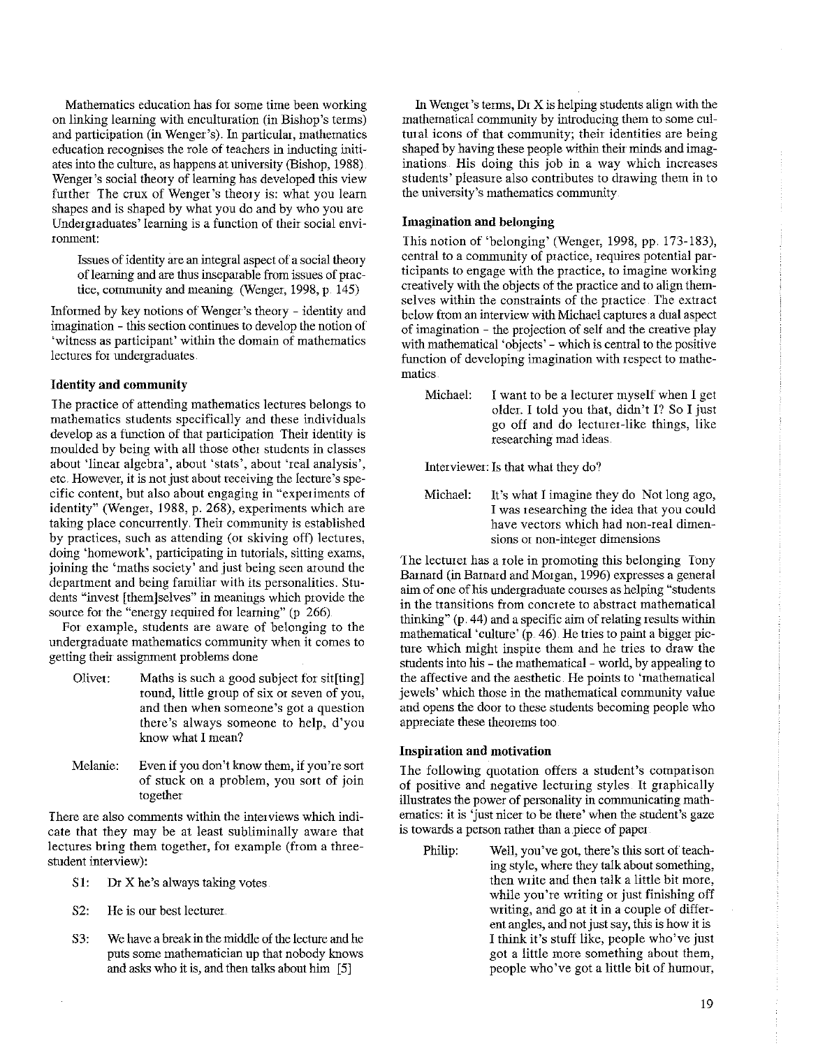Mathematics education has for some time been working on linking learning with enculturation (in Bishop's terms) and participation (in Wenger's). In particular, mathematics education recognises the role of teachers in inducting initiates into the culture, as happens at university (Bishop, 1988) Wenger's social theory of learning has developed this view further The crux of Wenger's theory is: what you learn shapes and is shaped by what you do and by who you are Undergraduates' learning is a function of their social environment:

Issues of identity are an integral aspect of a social theory of learning and are thus inseparable from issues of practice, community and meaning. (Wenger, 1998, p. 145)

Informed by key notions of Wenger's theory- identity and imagination - this section continues to develop the notion of 'witness as participant' within the domain of mathematics lectures for undergraduates.

# Identity and community

The practice of attending mathematics lectures belongs to mathematics students specifically and these individuals develop as a function of that participation Their identity is moulded by being with all those other students in classes about 'linear algebra', about 'stats', about 'real analysis', etc. However, it is not just about receiving the lecture's specific content, but also about engaging in "experiments of identity" (Wenger, 1988, p. 268), experiments which are taking place concurrently. Their community is established by practices, such as attending (or skiving off) lectures, doing 'homework', participating in tutorials, sitting exams, joining the 'maths society' and just being seen around the department and being familiar with its personalities. Students "invest [them]selves" in meanings which provide the source for the "energy required for learning" (p 266).

For example, students are aware of belonging to the undergraduate mathematics community when it comes to getting their assignment problems done

- Oliver: Maths is such a good subject for sit[ting] round, little group of six or seven of you, and then when someone 's got a question there's always someone to help, d'you know what I mean?
- Melanie: Even if you don't know them, if you're sort of stuck on a problem, you sort of join together

There are also comments within the interviews which indicate that they may be at least subliminally aware that lectures bring them together, for example (from a threestudent interview):

- S1: Dr X he's always taking votes.
- S2: He is our best lecturer
- S3: We have a break in the middle of the lecture and he puts some mathematician up that nobody knows and asks who it is, and then talks about him [ 5]

In Wenger's terms, Dr X is helping students align with the mathematical community by introducing them to some cultural icons of that community; their identities are being shaped by having these people within their minds and imaginations His doing this job in a way which increases students' pleasure also contributes to drawing them in to the university's mathematics community

# Imagination and belonging

This notion of 'belonging' (Wenger, 1998, pp. 173-183), central to a community of practice, requires potential participants to engage with the practice, to imagine working creatively with the objects of the practice and to align themselves within the constraints of the practice The extract below from an interview with Michael captures a dual aspect of imagination - the projection of self and the creative play with mathematical 'objects' - which is central to the positive function of developing imagination with respect to mathematics

Michael: I want to be a lecturer myself when I get older. I told you that, didn't I? So I just go off and do lecturer-like things, like researching mad ideas.

Interviewer: Is that what they do?

Michael: It's what I imagine they do Not long ago, I was researching the idea that you could have vectors which had non-real dimensions or non-integer dimensions

The lecturer has a role in promoting this belonging Tony Barnard (in Barnard and Morgan, 1996) expresses a general aim of one of his undergraduate courses as helping "students in the transitions from concrete to abstract mathematical thinking" (p. 44) and a specific aim of relating results within mathematical 'culture'  $(p. 46)$ . He tries to paint a bigger picture which might inspire them and he tries to draw the students into his - the mathematical - world, by appealing to the affective and the aesthetic. He points to 'mathematical jewels' which those in the mathematical community value and opens the door to these students becoming people who appreciate these theorems too

## **Inspiration and motivation**

The following quotation offers a student's comparison of positive and negative lecturing styles. It graphically illusttates the power of personality in communicating mathematics: it is 'just nicer to be there' when the student's gaze is towards a person rather than a piece of paper

Philip: Well, you've got, there's this sort of teaching style, where they talk about something, then write and then talk a little bit more, while you're writing or just finishing off writing, and go at it in a couple of different angles, and not just say, this is how it is I think it's stuff like, people who've just got a little more something about them, people who've got a little bit of humour,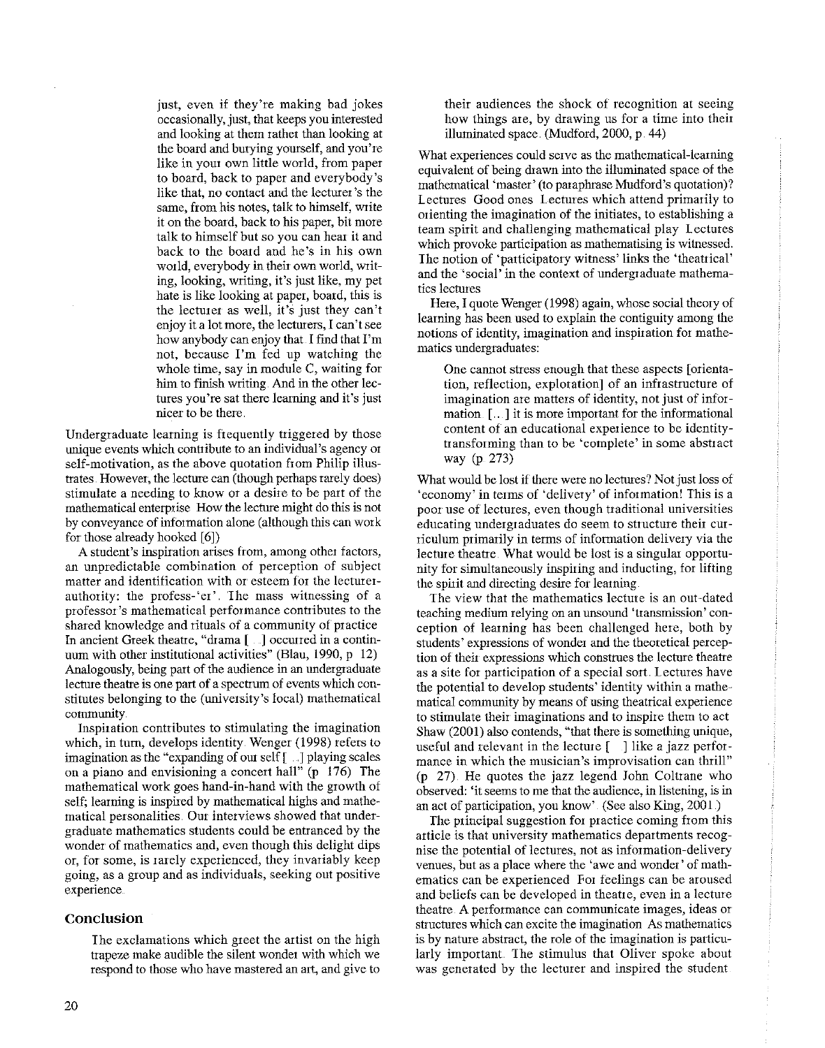just, even if they're making bad jokes occasionally, just, that keeps you interested and looking at them rather than looking at the board and burying yourself, and you're like in your own little world, from paper to board, back to paper and everybody's like that, no contact and the lecturer's the **same, from his notes, talk to himself, Wiite**  it on the board, back to his paper, bit more talk to himself but so you can heat it and back to the board and he's in his own world, everybody in their own world, writing, looking, writing, it's just like, my pet hate is like looking at paper, board, this is the lectmet as well, it's just they can't **enjoy it a lot more, the lectmers, I can't see**  how anybody can enjoy that. I find that I'm not, because I'm fed up watching the **whole time, say in module C, waiting for**  him to finish writing. And in the other lec**tures you're sat there learning and it's just nicer to be there.** 

Undergraduate learning is frequently triggered by those **unique events which contribute to an individual's agency ot**  self-motivation, as the above quotation from Philip illustrates. However, the lecture can (though perhaps rarely does) **stimulate a needing to know or a desire to be part of the**  mathematical enterprise How the lecture might do this is not by conveyance of information alone (although this can work for those already hooked [6])

**A student's inspiration arises from, among other factors, an unpredictable combination of perception of subject**  matter and identification with or esteem for the lecturer**authority: the profess-'er'. The mass witnessing of a professor's mathematical performance contiibutes to the**  shared knowledge and rituals of a community of practice In ancient Greek theatre, "drama [ ] occurred in a continuum with other institutional activities" (Blau, 1990, p 12) Analogously, being part of the audience in an undergraduate **lecture theatre is one part of a spectrum of events which con**stitutes belonging to the (university's local) mathematical **community.** 

**Inspiration contributes to stimulating the imagination**  which, in tum, develops identity. Wenger (1998) refers to imagination as the "expanding of om self [ ... ] playing scales on a piano and envisioning a concert hall" (p 176) The mathematical work goes hand-in-hand with the growth of self; leaming is inspired by mathematical highs and mathe**matical personalities. Out interviews showed that under**graduate mathematics students could be entranced by the wonder of mathematics and, even though this delight dips **or, for some, is rarely experienced, they invariably keep going, as a group and as individuals, seeking out positive experience** 

# **Conclusion**

I he exclamations which greet the artist on the high trapeze make audible the silent wonder with which we **respond to those who have mastered an art, and give to** 

**their audiences the shock of recognition at seeing**  how things are, by drawing us for a time into their illuminated space. (Mudford, 2000, p. 44)

**What experiences could serve as the mathematical-learning**  equivalent of being drawn into the illuminated space of the mathematical 'master' (to paraphrase Mudford's quotation)? Lectures Good ones Lectures which attend primarily to orienting the imagination of the initiates, to establishing a team spirit and challenging mathematical play Lectures **which provoke participation as mathematising is witnessed.**  Ihe notion of 'participatory witness' links the 'theatrical' and the 'social' in the context of undergraduate mathema**tics lectures** 

Here, I quote Wenger (1998) again, whose social theory of learning has been used to explain the contiguity among the notions of identity, imagination and inspiration for mathe**matics undergraduates:** 

**One cannot stress enough that these aspects [orientation, reflection, exploration] of an infrastructure of imagination are matters of identity, not just of infor**mation [ .. ] it is more important for the informational **content of an educational experience to be identitytransforming than to be 'complete' in some abstract**  way (p. 273)

What would be lost if there were no lectures? Not just loss of **'economy' in terms of 'delivery' of information! This is a poor use of lectures, even though traditional universities educating undergraduates do seem to structure their curriculum primarily in terms of information delivery via the**  lecture theatre. What would be lost is a singular opportunity for simultaneously inspiring and inducting, for lifting the spirit and directing desire for learning

**The view that the mathematics lecture is an out-dated teaching medium relying on an unsound 'transmission' con**ception of leaming has been challenged here, both by **students' expressions of wonder and the theoretical perception of their expressions which construes the lecture theatre as a site for participation of a special sort. lectures have**  the potential to develop students' identity within a mathe**matical community by means of using theatrical experience to stimulate their imaginations and to inspire them to act**  Shaw  $(2001)$  also contends, "that there is something unique, useful and relevant in the lecture  $\lceil \cdot \rceil$  like a jazz perfor**mance in which the musician's improvisation can thrill"**  (p 27) He quotes the jazz legend John Coltrane who **observed: 'it seems to me that the audience, in listening, is in**  an act of participation, you know" (See also King, 2001.)

The principal suggestion for practice coming from this **article is that university mathematics departments recog**hise the potential of lectures, not as information-delivery **venues, but as a place where the 'awe and wonder' of mathematics can be experienced For feelings can be aroused**  and beliefs can be developed in theatre, even in a lecture **theatre. A performance can communicate images, ideas or structures which can excite the imagination As mathematics is by nature abstract, the role of the imagination is particu**larly important. The stimulus that Oliver spoke about was generated by the lecturer and inspired the student